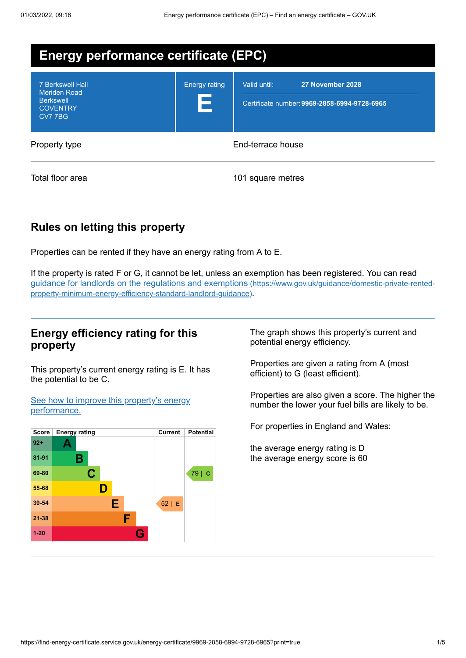| <b>Energy performance certificate (EPC)</b>                                                      |                           |                                                                                  |
|--------------------------------------------------------------------------------------------------|---------------------------|----------------------------------------------------------------------------------|
| <b>7 Berkswell Hall</b><br><b>Meriden Road</b><br><b>Berkswell</b><br><b>COVENTRY</b><br>CV7 7BG | <b>Energy rating</b><br>Е | Valid until:<br>27 November 2028<br>Certificate number: 9969-2858-6994-9728-6965 |
| Property type                                                                                    |                           | End-terrace house                                                                |
| Total floor area                                                                                 |                           | 101 square metres                                                                |

## **Rules on letting this property**

Properties can be rented if they have an energy rating from A to E.

If the property is rated F or G, it cannot be let, unless an exemption has been registered. You can read guidance for landlords on the regulations and exemptions (https://www.gov.uk/guidance/domestic-private-rented[property-minimum-energy-efficiency-standard-landlord-guidance\)](https://www.gov.uk/guidance/domestic-private-rented-property-minimum-energy-efficiency-standard-landlord-guidance).

## **Energy efficiency rating for this property**

This property's current energy rating is E. It has the potential to be C.

See how to improve this property's energy [performance.](#page-2-0)



The graph shows this property's current and potential energy efficiency.

Properties are given a rating from A (most efficient) to G (least efficient).

Properties are also given a score. The higher the number the lower your fuel bills are likely to be.

For properties in England and Wales:

the average energy rating is D the average energy score is 60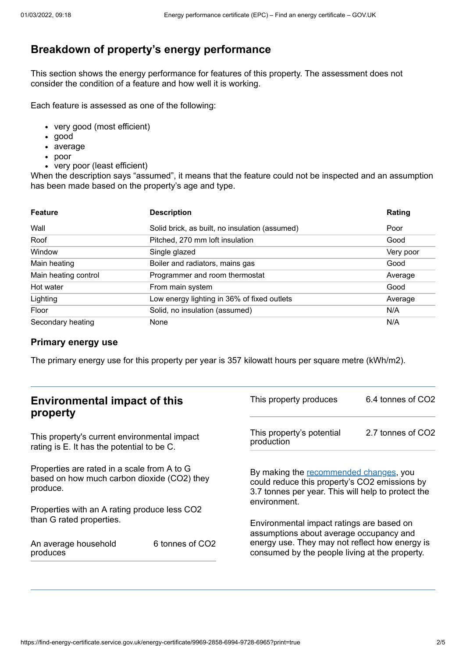# **Breakdown of property's energy performance**

This section shows the energy performance for features of this property. The assessment does not consider the condition of a feature and how well it is working.

Each feature is assessed as one of the following:

- very good (most efficient)
- good
- average
- poor
- very poor (least efficient)

When the description says "assumed", it means that the feature could not be inspected and an assumption has been made based on the property's age and type.

| <b>Feature</b>       | <b>Description</b>                             | Rating    |
|----------------------|------------------------------------------------|-----------|
| Wall                 | Solid brick, as built, no insulation (assumed) | Poor      |
| Roof                 | Pitched, 270 mm loft insulation                | Good      |
| Window               | Single glazed                                  | Very poor |
| Main heating         | Boiler and radiators, mains gas                | Good      |
| Main heating control | Programmer and room thermostat                 | Average   |
| Hot water            | From main system                               | Good      |
| Lighting             | Low energy lighting in 36% of fixed outlets    | Average   |
| Floor                | Solid, no insulation (assumed)                 | N/A       |
| Secondary heating    | None                                           | N/A       |

#### **Primary energy use**

The primary energy use for this property per year is 357 kilowatt hours per square metre (kWh/m2).

| <b>Environmental impact of this</b><br>property                                                        |                 | This property produces                                                                                                                                        | 6.4 tonnes of CO2 |
|--------------------------------------------------------------------------------------------------------|-----------------|---------------------------------------------------------------------------------------------------------------------------------------------------------------|-------------------|
| This property's current environmental impact<br>rating is E. It has the potential to be C.             |                 | This property's potential<br>production                                                                                                                       | 2.7 tonnes of CO2 |
| Properties are rated in a scale from A to G<br>based on how much carbon dioxide (CO2) they<br>produce. |                 | By making the recommended changes, you<br>could reduce this property's CO2 emissions by<br>3.7 tonnes per year. This will help to protect the<br>environment. |                   |
| Properties with an A rating produce less CO2                                                           |                 |                                                                                                                                                               |                   |
| than G rated properties.                                                                               |                 | Environmental impact ratings are based on<br>assumptions about average occupancy and                                                                          |                   |
| An average household<br>produces                                                                       | 6 tonnes of CO2 | energy use. They may not reflect how energy is<br>consumed by the people living at the property.                                                              |                   |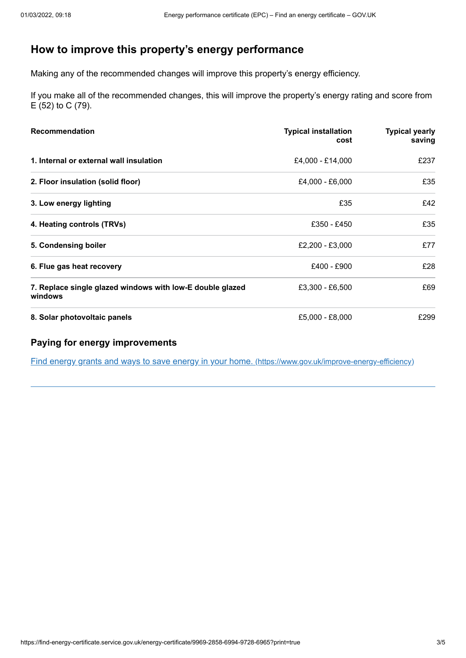# <span id="page-2-0"></span>**How to improve this property's energy performance**

Making any of the recommended changes will improve this property's energy efficiency.

If you make all of the recommended changes, this will improve the property's energy rating and score from E (52) to C (79).

| Recommendation                                                       | <b>Typical installation</b><br>cost | <b>Typical yearly</b><br>saving |
|----------------------------------------------------------------------|-------------------------------------|---------------------------------|
| 1. Internal or external wall insulation                              | £4,000 - £14,000                    | £237                            |
| 2. Floor insulation (solid floor)                                    | £4,000 - £6,000                     | £35                             |
| 3. Low energy lighting                                               | £35                                 | £42                             |
| 4. Heating controls (TRVs)                                           | £350 - £450                         | £35                             |
| 5. Condensing boiler                                                 | £2,200 - £3,000                     | £77                             |
| 6. Flue gas heat recovery                                            | £400 - £900                         | £28                             |
| 7. Replace single glazed windows with low-E double glazed<br>windows | £3,300 - £6,500                     | £69                             |
| 8. Solar photovoltaic panels                                         | £5,000 - £8,000                     | £299                            |

#### **Paying for energy improvements**

Find energy grants and ways to save energy in your home. [\(https://www.gov.uk/improve-energy-efficiency\)](https://www.gov.uk/improve-energy-efficiency)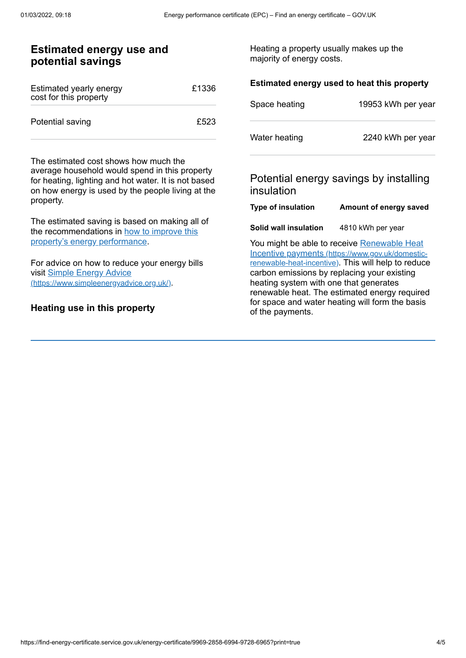| <b>Estimated energy use and</b><br>potential savings                                                                                                                                                              |       | Heating a property usually makes up the<br>majority of energy costs. |                                                                                                                                                                                                         |
|-------------------------------------------------------------------------------------------------------------------------------------------------------------------------------------------------------------------|-------|----------------------------------------------------------------------|---------------------------------------------------------------------------------------------------------------------------------------------------------------------------------------------------------|
| Estimated yearly energy<br>cost for this property                                                                                                                                                                 | £1336 | Space heating                                                        | Estimated energy used to heat this property<br>19953 kWh per year                                                                                                                                       |
| Potential saving                                                                                                                                                                                                  | £523  | Water heating                                                        | 2240 kWh per year                                                                                                                                                                                       |
| The estimated cost shows how much the<br>average household would spend in this property<br>for heating, lighting and hot water. It is not based<br>on how energy is used by the people living at the<br>property. |       | insulation<br>Type of insulation                                     | Potential energy savings by installing<br>Amount of energy saved                                                                                                                                        |
| The estimated saving is based on making all of<br>the recommendations in how to improve this<br>property's energy performance.                                                                                    |       | Solid wall insulation                                                | 4810 kWh per year<br>You might be able to receive Renewable Heat                                                                                                                                        |
| For advice on how to reduce your energy bills<br>visit Simple Energy Advice<br>(https://www.simpleenergyadvice.org.uk/)                                                                                           |       | heating system with one that generates                               | Incentive payments (https://www.gov.uk/domestic-<br>renewable-heat-incentive). This will help to reduce<br>carbon emissions by replacing your existing<br>renewable heat. The estimated energy required |
| Heating use in this property                                                                                                                                                                                      |       | of the payments.                                                     | for space and water heating will form the basis                                                                                                                                                         |